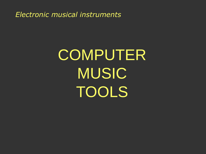*Electronic musical instruments*

# COMPUTER MUSIC TOOLS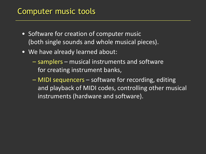#### Computer music tools

- Software for creation of computer music (both single sounds and whole musical pieces).
- We have already learned about:
	- samplers musical instruments and software for creating instrument banks,
	- MIDI sequencers software for recording, editing and playback of MIDI codes, controlling other musical instruments (hardware and software).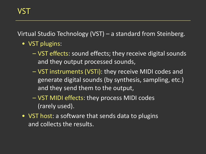Virtual Studio Technology (VST) – a standard from Steinberg.

- VST plugins:
	- VST effects: sound effects; they receive digital sounds and they output processed sounds,
	- VST instruments (VSTi): they receive MIDI codes and generate digital sounds (by synthesis, sampling, etc.) and they send them to the output,
	- VST MIDI effects: they process MIDI codes (rarely used).
- VST host: a software that sends data to plugins and collects the results.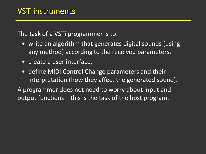The task of a VSTi programmer is to:

- write an algorithm that generates digital sounds (using any method) according to the received parameters,
- create a user interface,
- define MIDI Control Change parameters and their interpretation (how they affect the generated sound).

A programmer does not need to worry about input and output functions – this is the task of the host program.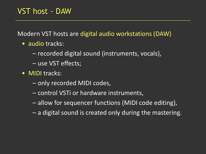Modern VST hosts are digital audio workstations (DAW)

- audio tracks:
	- recorded digital sound (instruments, vocals),
	- use VST effects;
- MIDI tracks:
	- only recorded MIDI codes,
	- control VSTi or hardware instruments,
	- allow for sequencer functions (MIDI code editing),
	- a digital sound is created only during the mastering.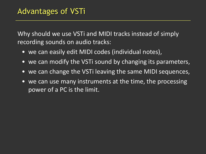Why should we use VSTi and MIDI tracks instead of simply recording sounds on audio tracks:

- we can easily edit MIDI codes (individual notes),
- we can modify the VSTi sound by changing its parameters,
- we can change the VSTi leaving the same MIDI sequences,
- we can use many instruments at the time, the processing power of a PC is the limit.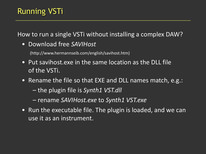How to run a single VSTi without installing a complex DAW?

• Download free *SAVIHost*

(http://www.hermannseib.com/english/savihost.htm)

- Put savihost.exe in the same location as the DLL file of the VSTi.
- Rename the file so that EXE and DLL names match, e.g.:
	- the plugin file is *Synth1 VST.dll*
	- rename *SAVIHost.exe* to *Synth1 VST.exe*
- Run the executable file. The plugin is loaded, and we can use it as an instrument.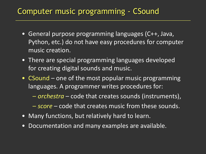#### Computer music programming - CSound

- General purpose programming languages (C++, Java, Python, etc.) do not have easy procedures for computer music creation.
- There are special programming languages developed for creating digital sounds and music.
- CSound one of the most popular music programming languages. A programmer writes procedures for:
	- *orchestra* code that creates sounds (instruments),
	- *score* code that creates music from these sounds.
- Many functions, but relatively hard to learn.
- Documentation and many examples are available.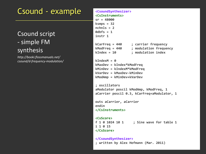## Csound - example

#### Csound script - simple FM synthesis

*http://booki.flossmanuals.net/ csound/d-frequency-modulation/*

#### **<CsoundSynthesizer> <CsInstruments> sr = 48000 ksmps = 32 nchnls = 2 0dbfs = 1 instr 1 kCarFreq = 440 ; carrier frequency kModFreq = 440 ; modulation frequency kIndex = 10 ; modulation index**  $kIndexM = 0$ **kMaxDev = kIndex\*kModFreq kMinDev = kIndexM\*kModFreq kVarDev = kMaxDev-kMinDev kModAmp = kMinDev+kVarDev ; oscillators aModulator poscil kModAmp, kModFreq, 1 aCarrier poscil 0.3, kCarFreq+aModulator, 1 outs aCarrier, aCarrier endin </CsInstruments> <CsScore> f 1 0 1024 10 1 ; Sine wave for table 1 i 1 0 15 </CsScore> </CsoundSynthesizer> ; written by Alex Hofmann (Mar. 2011)**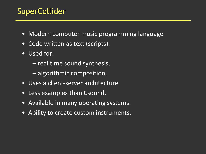## SuperCollider

- Modern computer music programming language.
- Code written as text (scripts).
- Used for:
	- real time sound synthesis,
	- algorithmic composition.
- Uses a client-server architecture.
- Less examples than Csound.
- Available in many operating systems.
- Ability to create custom instruments.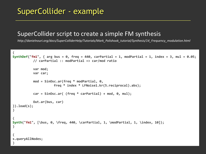#### SuperCollider script to create a simple FM synthesis

*http://danielnouri.org/docs/SuperColliderHelp/Tutorials/Mark\_Polishook\_tutorial/Synthesis/14\_Frequency\_modulation.html*

```
(
SynthDef("fm1", { arg bus = 0, freq = 440, carPartial = 1, modPartial = 1, index = 3, mul = 0.05;
           // carPartial :: modPartial => car/mod ratio
           var mod;
           var car;
           mod = SinOsc.ar(freq * modPartial, 0,
                      freq * index * LFNoise1.kr(5.reciprocal).abs);
           car = SinOsc.ar( (freq * carPartial) + mod, 0, mul);
           Out.ar(bus, car)
}).load(s);
)
(
Synth("fm1", [\bus, 0, \freq, 440, \carPartial, 1, \modPartial, 1, \index, 10]);
)
(
s.queryAllNodes;
)
```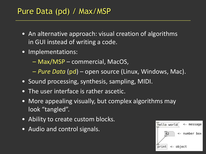#### Pure Data (pd) / Max/MSP

- An alternative approach: visual creation of algorithms in GUI instead of writing a code.
- Implementations:
	- Max/MSP commercial, MacOS,
	- *Pure Data* (pd) open source (Linux, Windows, Mac).
- Sound processing, synthesis, sampling, MIDI.
- The user interface is rather ascetic.
- More appealing visually, but complex algorithms may look "tangled".
- Ability to create custom blocks.
- Audio and control signals.

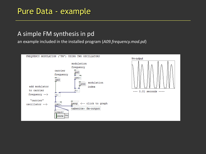#### Pure Data - example

#### A simple FM synthesis in pd

an example included in the installed program (*A09.frequency.mod.pd*)



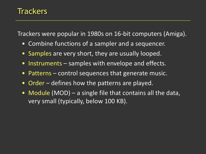#### **Trackers**

Trackers were popular in 1980s on 16-bit computers (Amiga).

- Combine functions of a sampler and a sequencer.
- Samples are very short, they are usually looped.
- Instruments samples with envelope and effects.
- Patterns control sequences that generate music.
- Order defines how the patterns are played.
- Module (MOD) a single file that contains all the data, very small (typically, below 100 KB).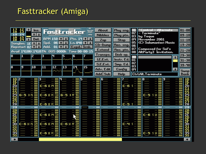## Fasttracker (Amiga)

| łέ<br>19<br>14<br>捛<br>Songlen.<br><b>Repstart</b><br>Avail 14106(1<br>1<br>n<br>9<br>8                                                                                                                                                                         | lns.<br>Del<br>1E 1 J J<br>n2.<br>4107)k<br>2<br>3<br>10<br>ш                                                                                                                                                                               | रदेल्ल<br>πs<br><b>BPM</b><br>150<br>$+1$<br>Spd.<br>06<br>$\uparrow$<br>01<br>Add.<br>$\uparrow$<br><b>GUS 0000k</b><br>H<br>5<br>12<br>والزماليرسا                                                                                                                                       | oker<br>Ptn. 14<br>$\overline{1}$<br><u> En. 040 l</u><br>Expd. Srnk.<br>÷<br>Time 00:00:15<br>6<br>13<br>ш                                                                                                                 | ъu<br>TAITON<br>PAOD.<br><b>1776</b><br>$t$ +<br>$t$ <sup>+</sup><br>7<br>15                                | About<br><b>Nibbles</b><br>Zop<br>CD-Dump<br><b>Extend</b><br>Transps.<br>I.E.Ext.<br>S.E.Ext.<br>Adv. Edit<br><b>Sub</b><br>Add                                                                                                                                                                                                                      | Play sng<br>Play ptn.<br><b>Stop</b><br>Rec. sng.<br>Rec. ptn.<br>Disk op.<br>Instr. Ed.<br>Smp. Ed.<br>Config<br><b>Help</b>                                                                                                                    | <u> Control – Alternate</u><br>Terminate"<br>02<br>03<br>by Teque<br>04<br>November 2001<br>05<br>(C) Salamanteri Music<br>06<br>07<br>Composed for Sol's<br>08<br>AltParty3 Invitation.<br>Ш<br>$\overline{01}$<br>02<br>03<br>04<br><b>Ctrl.Alt.Terminate</b>                                                                                                                     | $01 - 08$<br>$09 - 10$<br>$11 - 18$<br>$19 - 20$<br>$21 - 28$<br>$29 - 30$<br>$31 - 38$<br>39-40<br>Swap<br><b>Bank</b>                                                                                                                                                                                                                                              |                                                |
|-----------------------------------------------------------------------------------------------------------------------------------------------------------------------------------------------------------------------------------------------------------------|---------------------------------------------------------------------------------------------------------------------------------------------------------------------------------------------------------------------------------------------|--------------------------------------------------------------------------------------------------------------------------------------------------------------------------------------------------------------------------------------------------------------------------------------------|-----------------------------------------------------------------------------------------------------------------------------------------------------------------------------------------------------------------------------|-------------------------------------------------------------------------------------------------------------|-------------------------------------------------------------------------------------------------------------------------------------------------------------------------------------------------------------------------------------------------------------------------------------------------------------------------------------------------------|--------------------------------------------------------------------------------------------------------------------------------------------------------------------------------------------------------------------------------------------------|-------------------------------------------------------------------------------------------------------------------------------------------------------------------------------------------------------------------------------------------------------------------------------------------------------------------------------------------------------------------------------------|----------------------------------------------------------------------------------------------------------------------------------------------------------------------------------------------------------------------------------------------------------------------------------------------------------------------------------------------------------------------|------------------------------------------------|
| ь.<br>1 N<br><br><br>ŹŌ<br><br><br>ちょう こうしょう こうしょう かんこう こうかん しょうせい しゅうかん しんじょう しょうかん しんしゃ しんじょう しんじょう しんじょう しんじょう しんしゃ しんじょう<br><br>G-5<br><br><br><br>$\overline{29}$<br><br>228222528<br><br><br><br><br><br><br>C-6 10<br>31<br><br><br><br>39<br><br>35<br> | 2<br><br><br><br><br>C-6 1<br><br><br><br><br><br><br><br>P1<br>С-б<br><br><br><br><br><br><br>C-6 1E<br><br>. AAL<br>$\cdots$<br><br><br><br><br><br>C-6 1E<br><br><br><br><br><br><br><br>P1<br>C-6 1<br><br><br><br><br><br><br><br><br> | mn<br>$\cdots$<br><br>$\cdots$<br>PЧ<br>000<br><br><br><br>PC<br>010<br>$\cdots$<br>$\cdots$<br>000<br>$\cdots$<br>PC.<br>000<br>ANA<br>$\cdots$<br>00O<br><br><br>$\cdots$<br>PЧ<br>Č10<br><br><br><br><br><br><br>PЧ<br><br><br><br><br><br><br>C <sub>10</sub><br>C-6 1E PC<br><br><br> | <br>$\cdots$<br><br><br><br><br><br>$\cdots$<br><br>:<br><br>$\cdots$<br><br><br>PF<br>G-5<br><br>::::<br><br><br><br>$\cdots$<br><br><br>-nni<br><br>$\cdots$<br><br><br><br><br><br><br><br>C-6<br><br>21<br><br><br><br> | <b>ц…….</b><br><br><br><br><br><br><br><br><br><br><br><br><br><br><br><br><br><br><br><br><br><br><br><br> | nnn<br><br>$\cdots$<br>$\cdots$<br><br>$\cdots$<br>$\cdots$<br><br>$\cdots$<br>$\cdots$<br><br>$\cdots$<br>$\cdots$<br><br>$\cdots$<br>$\cdots$<br><br>$\cdots$<br><br>UUU<br><br>ûû0<br>$\cdots$<br><br>$\cdots$<br><br><br><br><br><br>$\cdots$<br><br><br><br>$\cdots$<br><br><br><br>$\cdots$<br><br><br><br><br><br>$\cdots$<br><br>$\cdots$<br> | 7.<br><br><br><br><br><br>С-б<br><br><br>:<br>$\cdots$<br><br><br><br><br><br><br><br><br><br>$\cdots$<br><br>C-5<br>$\cdots$<br>$\cdots$<br><br><br><br><br><br><br><br><br><br><br><br><br><br>C-4<br><br><br><br><br><br><br><br><br><br><br> | 8.<br>nnn<br><br><br><br><br><br><br>$\cdots$<br><br><br><br>$\cdots$<br>$\cdots$<br><br><br><br>C-5<br>5 18<br>$\cdots$<br><br><br>$\cdots$<br><br>$\cdots$<br>::::<br><br>000<br><br><br>m<br>$\cdots$<br><br>$\cdots$<br><br><br><br>5 18<br>С-6<br><br><br><br><br><br><br><br><br><br><br><br><br><br><br><br><br><br><br><br>C-5<br>-18<br>5.<br>$\cdots$<br><br><br>$\cdots$ | <b>q</b><br>$\cdots$<br><br>$\cdots$<br><br><br>$\cdots$<br><br><br><br>$\cdots$<br>$\cdots$<br><br>$\cdots$<br><br>$\cdots$<br><br>$\cdots$<br><br><br>$\cdots$<br><br>$\cdots$<br><br><br>$\cdots$<br><br><br>$\cdots$<br><br><br><br><br><br>$\cdots$<br><br><br><br><br>$\cdots$<br><br><br><br><br><br><br><br><br><br><br><br><br><br><br><br><br><br><br><br> | 20<br>ZЧ<br>쬻<br>弱<br>Ŧ<br>2C<br>2D<br>30<br>弱 |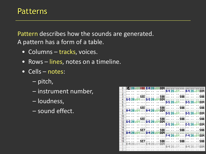Pattern describes how the sounds are generated. A pattern has a form of a table.

- Columns tracks, voices.
- Rows lines, notes on a timeline.
- Cells notes:
	- pitch,
	- instrument number,
	- loudness,
	- sound effect.

| 0              | I - 126                    |  |                      |         |            |  |  | u64 <b>V80 E-4 26</b> u64004                                                                                      |                          |  |  |            |   |  |  |                            |
|----------------|----------------------------|--|----------------------|---------|------------|--|--|-------------------------------------------------------------------------------------------------------------------|--------------------------|--|--|------------|---|--|--|----------------------------|
|                |                            |  |                      |         |            |  |  |                                                                                                                   |                          |  |  |            |   |  |  |                            |
|                |                            |  |                      |         |            |  |  |                                                                                                                   |                          |  |  |            |   |  |  | IA-4 26∪64 IA-4 26∪64004   |
| $\overline{2}$ |                            |  |                      |         |            |  |  |                                                                                                                   |                          |  |  |            |   |  |  |                            |
| $\overline{3}$ |                            |  |                      | . . SEE |            |  |  |                                                                                                                   |                          |  |  |            |   |  |  | . . S66                    |
| 4              | G-5 26 u 64 <b>.</b>       |  |                      |         |            |  |  | $ G-5 26 \cup 64 004 $                                                                                            |                          |  |  |            | . |  |  |                            |
|                |                            |  |                      |         | . <b>.</b> |  |  | .                                                                                                                 |                          |  |  |            |   |  |  | D-5 26 u64 D-5 26 u64 004  |
| $\frac{5}{6}$  |                            |  |                      |         |            |  |  |                                                                                                                   |                          |  |  |            |   |  |  |                            |
| 7              | .                          |  |                      |         |            |  |  | $\,\ldots\,$ SEE $\,\ldots\,\,\ldots\,\,\ldots\,$ S66 $\,\ldots\,\,\ldots\,\,\ldots\,$ S66 $\,\ldots\,\,\ldots\,$ |                          |  |  |            |   |  |  | . . S66                    |
|                |                            |  |                      |         |            |  |  |                                                                                                                   |                          |  |  |            |   |  |  |                            |
| 8              | IA-4 26∪64 IA-4 26∪64004 i |  |                      |         |            |  |  |                                                                                                                   | .                        |  |  | 1.1.1.1    | . |  |  |                            |
| $\overline{9}$ |                            |  |                      |         |            |  |  |                                                                                                                   |                          |  |  |            |   |  |  | ID-5 26∪64 → ID-5 26∪64004 |
| 10             |                            |  |                      |         |            |  |  |                                                                                                                   |                          |  |  |            |   |  |  |                            |
| 11             |                            |  |                      |         |            |  |  | $\ldots$ SEE $\vert \ldots \ldots \ldots$ S66 $\vert \ldots \ldots \ldots$ S66 $\vert \ldots \ldots \vert$        |                          |  |  |            |   |  |  | . . S66                    |
| 12             | G-5 26 v64  G-5 26 v64 004 |  |                      |         |            |  |  |                                                                                                                   |                          |  |  | . <b>.</b> |   |  |  |                            |
| 13             | . <b>.</b>                 |  |                      |         |            |  |  | $\cdots$                                                                                                          |                          |  |  |            |   |  |  | IE-5 26∪64 IE-5 26∪64004   |
|                |                            |  |                      |         |            |  |  |                                                                                                                   |                          |  |  |            |   |  |  |                            |
| 14             |                            |  |                      |         |            |  |  |                                                                                                                   |                          |  |  |            |   |  |  |                            |
| 15             |                            |  |                      | . . SE7 |            |  |  |                                                                                                                   |                          |  |  |            |   |  |  | . . S66                    |
| 16             | 0-4 26 u 64 <b>.</b>       |  |                      |         |            |  |  | D-4 26 <sub>V</sub> 64 004                                                                                        | .                        |  |  |            |   |  |  |                            |
| 17             |                            |  |                      |         |            |  |  | . <b>.</b>                                                                                                        |                          |  |  |            |   |  |  | IF-4 26 u64 IF-4 26 u64004 |
| 18             |                            |  |                      |         |            |  |  |                                                                                                                   |                          |  |  |            |   |  |  |                            |
| 19             |                            |  | $\ddot{\phantom{a}}$ | SE7     | .          |  |  | $\cdots$ S66 $\cdots$ $\cdots$ $\cdots$ S66 $\cdots$ $\cdots$                                                     |                          |  |  |            |   |  |  | . . S66                    |
| $\mathbf{0}$   | F-4 26                     |  |                      | 64      |            |  |  | nn4                                                                                                               |                          |  |  |            |   |  |  |                            |
|                |                            |  |                      |         | E-4 26 u64 |  |  |                                                                                                                   |                          |  |  |            |   |  |  |                            |
|                |                            |  |                      |         |            |  |  | .                                                                                                                 | IA-4 26 u64 IA-4 26 u640 |  |  |            |   |  |  |                            |
|                |                            |  |                      |         |            |  |  |                                                                                                                   |                          |  |  |            |   |  |  |                            |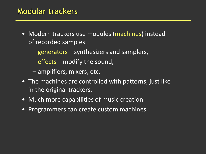#### Modular trackers

- Modern trackers use modules (machines) instead of recorded samples:
	- generators synthesizers and samplers,
	- effects modify the sound,
	- amplifiers, mixers, etc.
- The machines are controlled with patterns, just like in the original trackers.
- Much more capabilities of music creation.
- Programmers can create custom machines.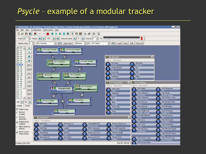#### *Psycle* – example of a modular tracker

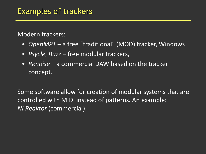Modern trackers:

- *OpenMPT* a free "traditional" (MOD) tracker, Windows
- *Psycle*, *Buzz* free modular trackers,
- *Renoise –* a commercial DAW based on the tracker concept.

Some software allow for creation of modular systems that are controlled with MIDI instead of patterns. An example: *NI Reaktor* (commercial).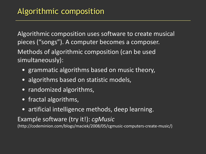Algorithmic composition uses software to create musical pieces ("songs"). A computer becomes a composer. Methods of algorithmic composition (can be used simultaneously):

- grammatic algorithms based on music theory,
- algorithms based on statistic models,
- randomized algorithms,
- fractal algorithms,
- artificial intelligence methods, deep learning.

#### Example software (try it!): *cgMusic*

(http://codeminion.com/blogs/maciek/2008/05/cgmusic-computers-create-music/)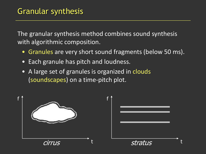The granular synthesis method combines sound synthesis with algorithmic composition.

- Granules are very short sound fragments (below 50 ms).
- Each granule has pitch and loudness.
- A large set of granules is organized in clouds (soundscapes) on a time-pitch plot.

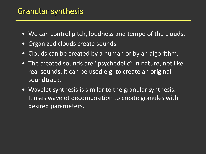#### Granular synthesis

- We can control pitch, loudness and tempo of the clouds.
- Organized clouds create sounds.
- Clouds can be created by a human or by an algorithm.
- The created sounds are "psychedelic" in nature, not like real sounds. It can be used e.g. to create an original soundtrack.
- Wavelet synthesis is similar to the granular synthesis. It uses wavelet decomposition to create granules with desired parameters.